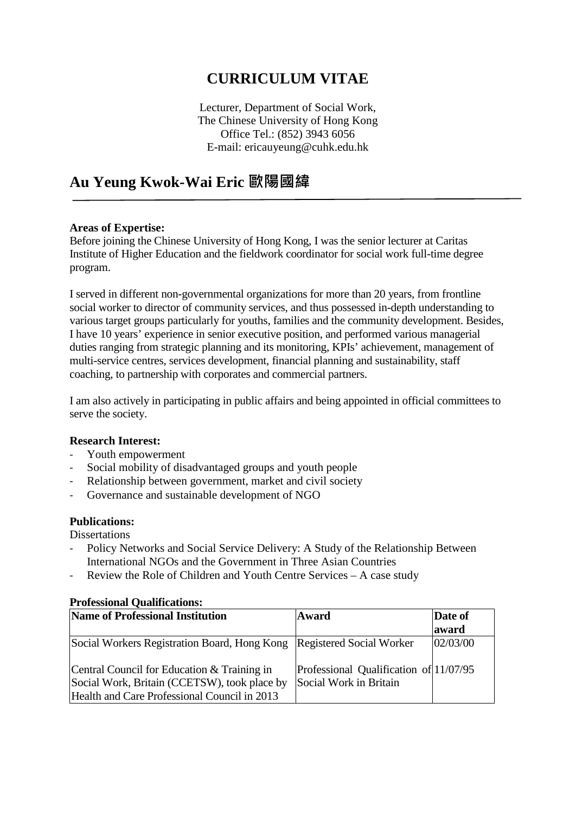# **CURRICULUM VITAE**

Lecturer, Department of Social Work, The Chinese University of Hong Kong Office Tel.: (852) 3943 6056 E-mail: ericauyeung@cuhk.edu.hk

## **Au Yeung Kwok-Wai Eric 歐陽國緯**

#### **Areas of Expertise:**

Before joining the Chinese University of Hong Kong, I was the senior lecturer at Caritas Institute of Higher Education and the fieldwork coordinator for social work full-time degree program.

I served in different non-governmental organizations for more than 20 years, from frontline social worker to director of community services, and thus possessed in-depth understanding to various target groups particularly for youths, families and the community development. Besides, I have 10 years' experience in senior executive position, and performed various managerial duties ranging from strategic planning and its monitoring, KPIs' achievement, management of multi-service centres, services development, financial planning and sustainability, staff coaching, to partnership with corporates and commercial partners.

I am also actively in participating in public affairs and being appointed in official committees to serve the society.

#### **Research Interest:**

- Youth empowerment
- Social mobility of disadvantaged groups and youth people
- Relationship between government, market and civil society
- Governance and sustainable development of NGO

#### **Publications:**

**Dissertations** 

- Policy Networks and Social Service Delivery: A Study of the Relationship Between International NGOs and the Government in Three Asian Countries
- Review the Role of Children and Youth Centre Services A case study

| TTUICSSIONAI VUANNUAUONS.                                                                                                                   |                                                                  |                  |  |
|---------------------------------------------------------------------------------------------------------------------------------------------|------------------------------------------------------------------|------------------|--|
| <b>Name of Professional Institution</b>                                                                                                     | Award                                                            | Date of<br>award |  |
| Social Workers Registration Board, Hong Kong Registered Social Worker                                                                       |                                                                  | 02/03/00         |  |
| Central Council for Education & Training in<br>Social Work, Britain (CCETSW), took place by<br>Health and Care Professional Council in 2013 | Professional Qualification of 11/07/95<br>Social Work in Britain |                  |  |

#### **Professional Qualifications:**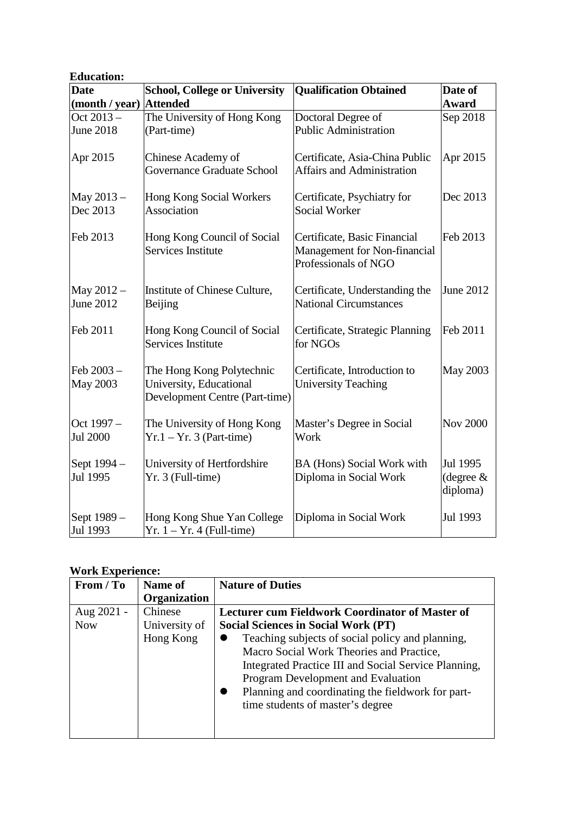| <b>Education:</b>             |                                                                                        |                                                                                      |                                     |
|-------------------------------|----------------------------------------------------------------------------------------|--------------------------------------------------------------------------------------|-------------------------------------|
| <b>Date</b>                   | <b>School, College or University</b>                                                   | <b>Qualification Obtained</b>                                                        | Date of                             |
| (month / year)                | <b>Attended</b>                                                                        |                                                                                      | Award                               |
| Oct 2013 -                    | The University of Hong Kong                                                            | Doctoral Degree of                                                                   | Sep 2018                            |
| <b>June 2018</b>              | (Part-time)                                                                            | <b>Public Administration</b>                                                         |                                     |
| Apr 2015                      | Chinese Academy of<br>Governance Graduate School                                       | Certificate, Asia-China Public<br>Affairs and Administration                         | Apr 2015                            |
| May 2013 -<br>Dec 2013        | Hong Kong Social Workers<br>Association                                                | Certificate, Psychiatry for<br><b>Social Worker</b>                                  | Dec 2013                            |
| Feb 2013                      | Hong Kong Council of Social<br>Services Institute                                      | Certificate, Basic Financial<br>Management for Non-financial<br>Professionals of NGO | Feb 2013                            |
| May 2012 -<br>June 2012       | Institute of Chinese Culture,<br>Beijing                                               | Certificate, Understanding the<br><b>National Circumstances</b>                      | June 2012                           |
| Feb 2011                      | Hong Kong Council of Social<br>Services Institute                                      | Certificate, Strategic Planning<br>for NGOs                                          | Feb 2011                            |
| Feb 2003-<br><b>May 2003</b>  | The Hong Kong Polytechnic<br>University, Educational<br>Development Centre (Part-time) | Certificate, Introduction to<br><b>University Teaching</b>                           | <b>May 2003</b>                     |
| Oct 1997 -<br><b>Jul 2000</b> | The University of Hong Kong<br>$Yr.1 - Yr.3$ (Part-time)                               | Master's Degree in Social<br>Work                                                    | <b>Nov 2000</b>                     |
| Sept 1994 -<br>Jul 1995       | University of Hertfordshire<br>Yr. 3 (Full-time)                                       | BA (Hons) Social Work with<br>Diploma in Social Work                                 | Jul 1995<br>(degree $&$<br>diploma) |
| Sept 1989 -<br>Jul 1993       | Hong Kong Shue Yan College<br>$Yr. 1 - Yr. 4$ (Full-time)                              | Diploma in Social Work                                                               | Jul 1993                            |

### **Work Experience:**

| From / To  | Name of             | <b>Nature of Duties</b>                                                                                                                                                                                                                                                             |
|------------|---------------------|-------------------------------------------------------------------------------------------------------------------------------------------------------------------------------------------------------------------------------------------------------------------------------------|
|            | <b>Organization</b> |                                                                                                                                                                                                                                                                                     |
| Aug 2021 - | Chinese             | <b>Lecturer cum Fieldwork Coordinator of Master of</b>                                                                                                                                                                                                                              |
| <b>Now</b> | University of       | <b>Social Sciences in Social Work (PT)</b>                                                                                                                                                                                                                                          |
|            | Hong Kong           | Teaching subjects of social policy and planning,<br>Macro Social Work Theories and Practice,<br>Integrated Practice III and Social Service Planning,<br>Program Development and Evaluation<br>Planning and coordinating the fieldwork for part-<br>time students of master's degree |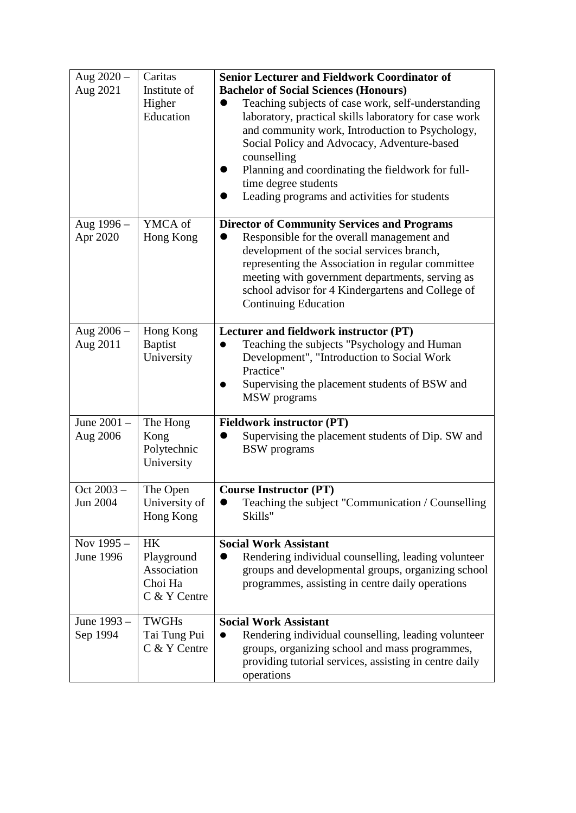| Aug $2020 -$<br>Aug 2021 | Caritas<br>Institute of<br>Higher<br>Education                    | <b>Senior Lecturer and Fieldwork Coordinator of</b><br><b>Bachelor of Social Sciences (Honours)</b><br>Teaching subjects of case work, self-understanding<br>laboratory, practical skills laboratory for case work<br>and community work, Introduction to Psychology,<br>Social Policy and Advocacy, Adventure-based<br>counselling<br>Planning and coordinating the fieldwork for full-<br>time degree students<br>Leading programs and activities for students |
|--------------------------|-------------------------------------------------------------------|------------------------------------------------------------------------------------------------------------------------------------------------------------------------------------------------------------------------------------------------------------------------------------------------------------------------------------------------------------------------------------------------------------------------------------------------------------------|
| Aug 1996 -<br>Apr 2020   | YMCA of<br>Hong Kong                                              | <b>Director of Community Services and Programs</b><br>Responsible for the overall management and<br>development of the social services branch,<br>representing the Association in regular committee<br>meeting with government departments, serving as<br>school advisor for 4 Kindergartens and College of<br><b>Continuing Education</b>                                                                                                                       |
| Aug 2006 -<br>Aug 2011   | Hong Kong<br><b>Baptist</b><br>University                         | Lecturer and fieldwork instructor (PT)<br>Teaching the subjects "Psychology and Human<br>Development", "Introduction to Social Work<br>Practice"<br>Supervising the placement students of BSW and<br>MSW programs                                                                                                                                                                                                                                                |
| June 2001 -<br>Aug 2006  | The Hong<br>Kong<br>Polytechnic<br>University                     | <b>Fieldwork instructor (PT)</b><br>Supervising the placement students of Dip. SW and<br><b>BSW</b> programs                                                                                                                                                                                                                                                                                                                                                     |
| Oct 2003 -<br>Jun 2004   | The Open<br>University of<br>Hong Kong                            | <b>Course Instructor (PT)</b><br>Teaching the subject "Communication / Counselling<br>Skills"                                                                                                                                                                                                                                                                                                                                                                    |
| Nov 1995 -<br>June 1996  | <b>HK</b><br>Playground<br>Association<br>Choi Ha<br>C & Y Centre | <b>Social Work Assistant</b><br>Rendering individual counselling, leading volunteer<br>groups and developmental groups, organizing school<br>programmes, assisting in centre daily operations                                                                                                                                                                                                                                                                    |
| June 1993 -<br>Sep 1994  | <b>TWGHs</b><br>Tai Tung Pui<br>C & Y Centre                      | <b>Social Work Assistant</b><br>Rendering individual counselling, leading volunteer<br>groups, organizing school and mass programmes,<br>providing tutorial services, assisting in centre daily<br>operations                                                                                                                                                                                                                                                    |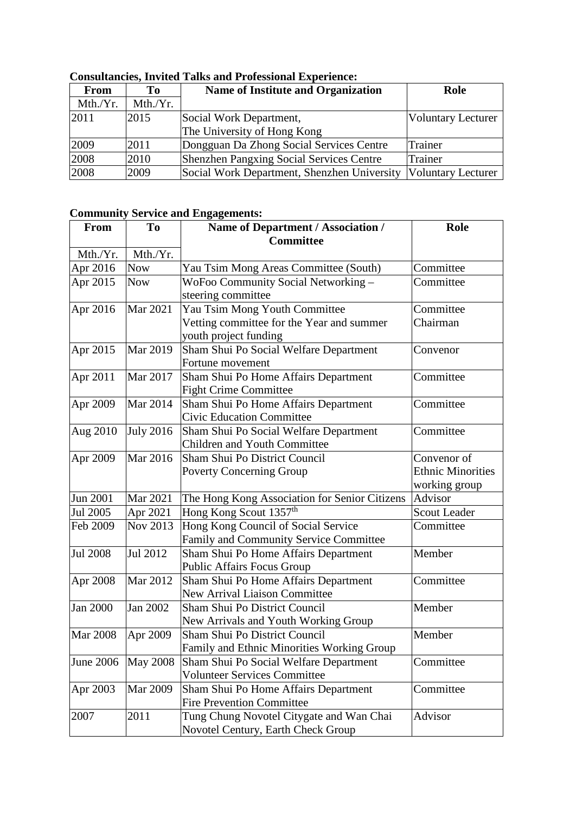| From     | Tо       | <b>Name of Institute and Organization</b>                        | Role                      |
|----------|----------|------------------------------------------------------------------|---------------------------|
| Mth./Yr. | Mth./Yr. |                                                                  |                           |
| 2011     | 2015     | Social Work Department,                                          | <b>Voluntary Lecturer</b> |
|          |          | The University of Hong Kong                                      |                           |
| 2009     | 2011     | Dongguan Da Zhong Social Services Centre                         | <b>Trainer</b>            |
| 2008     | 2010     | <b>Shenzhen Pangxing Social Services Centre</b>                  | Trainer                   |
| 2008     | 2009     | Social Work Department, Shenzhen University   Voluntary Lecturer |                           |

### **Consultancies, Invited Talks and Professional Experience:**

## **Community Service and Engagements:**

| <b>From</b>      | To               | <b>Name of Department / Association /</b>     | Role                     |
|------------------|------------------|-----------------------------------------------|--------------------------|
|                  |                  | <b>Committee</b>                              |                          |
| Mth./Yr.         | Mth./Yr.         |                                               |                          |
| Apr 2016         | <b>Now</b>       | Yau Tsim Mong Areas Committee (South)         | Committee                |
| Apr 2015         | <b>Now</b>       | WoFoo Community Social Networking-            | Committee                |
|                  |                  | steering committee                            |                          |
| Apr 2016         | <b>Mar 2021</b>  | Yau Tsim Mong Youth Committee                 | Committee                |
|                  |                  | Vetting committee for the Year and summer     | Chairman                 |
|                  |                  | youth project funding                         |                          |
| Apr 2015         | Mar 2019         | Sham Shui Po Social Welfare Department        | Convenor                 |
|                  |                  | Fortune movement                              |                          |
| Apr 2011         | Mar 2017         | Sham Shui Po Home Affairs Department          | Committee                |
|                  |                  | <b>Fight Crime Committee</b>                  |                          |
| Apr 2009         | Mar 2014         | Sham Shui Po Home Affairs Department          | Committee                |
|                  |                  | <b>Civic Education Committee</b>              |                          |
| Aug 2010         | <b>July 2016</b> | Sham Shui Po Social Welfare Department        | Committee                |
|                  |                  | Children and Youth Committee                  |                          |
| Apr 2009         | Mar 2016         | Sham Shui Po District Council                 | Convenor of              |
|                  |                  | <b>Poverty Concerning Group</b>               | <b>Ethnic Minorities</b> |
|                  |                  |                                               | working group            |
| <b>Jun 2001</b>  | Mar 2021         | The Hong Kong Association for Senior Citizens | Advisor                  |
| Jul 2005         | Apr 2021         | Hong Kong Scout 1357 <sup>th</sup>            | Scout Leader             |
| Feb 2009         | <b>Nov 2013</b>  | Hong Kong Council of Social Service           | Committee                |
|                  |                  | Family and Community Service Committee        |                          |
| <b>Jul 2008</b>  | Jul 2012         | Sham Shui Po Home Affairs Department          | Member                   |
|                  |                  | Public Affairs Focus Group                    |                          |
| Apr 2008         | <b>Mar 2012</b>  | Sham Shui Po Home Affairs Department          | Committee                |
|                  |                  | New Arrival Liaison Committee                 |                          |
| Jan 2000         | Jan 2002         | Sham Shui Po District Council                 | Member                   |
|                  |                  | New Arrivals and Youth Working Group          |                          |
| <b>Mar 2008</b>  | Apr 2009         | Sham Shui Po District Council                 | Member                   |
|                  |                  | Family and Ethnic Minorities Working Group    |                          |
| <b>June 2006</b> | <b>May 2008</b>  | Sham Shui Po Social Welfare Department        | Committee                |
|                  |                  | <b>Volunteer Services Committee</b>           |                          |
| Apr 2003         | <b>Mar 2009</b>  | Sham Shui Po Home Affairs Department          | Committee                |
|                  |                  | <b>Fire Prevention Committee</b>              |                          |
| 2007             | 2011             | Tung Chung Novotel Citygate and Wan Chai      | Advisor                  |
|                  |                  | Novotel Century, Earth Check Group            |                          |